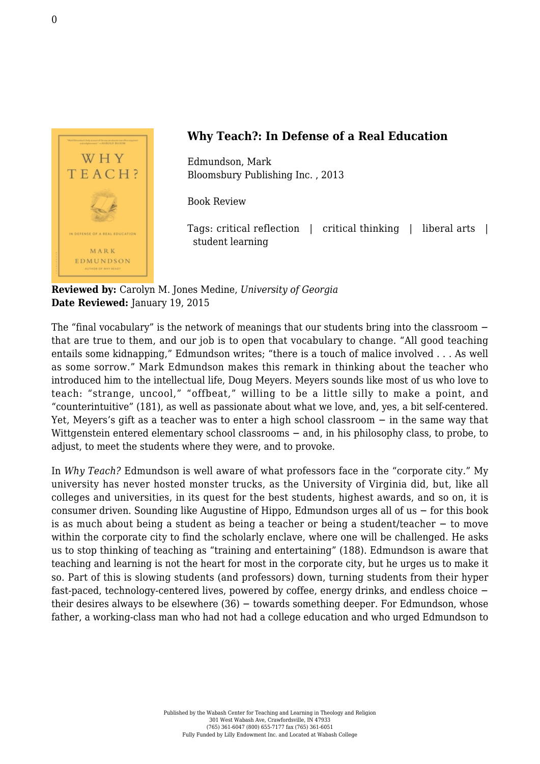

## **Why Teach?: In Defense of a Real Education**

Edmundson, Mark [Bloomsbury Publishing Inc. , 2013](http://www.bloomsbury.com/uk/why-teach-9781620401071/)

Book Review

Tags: critical reflection | critical thinking | liberal arts | student learning

**Reviewed by:** Carolyn M. Jones Medine, *University of Georgia* **Date Reviewed:** January 19, 2015

The "final vocabulary" is the network of meanings that our students bring into the classroom − that are true to them, and our job is to open that vocabulary to change. "All good teaching entails some kidnapping," Edmundson writes; "there is a touch of malice involved . . . As well as some sorrow." Mark Edmundson makes this remark in thinking about the teacher who introduced him to the intellectual life, Doug Meyers. Meyers sounds like most of us who love to teach: "strange, uncool," "offbeat," willing to be a little silly to make a point, and "counterintuitive" (181), as well as passionate about what we love, and, yes, a bit self-centered. Yet, Meyers's gift as a teacher was to enter a high school classroom − in the same way that Wittgenstein entered elementary school classrooms − and, in his philosophy class, to probe, to adjust, to meet the students where they were, and to provoke.

In *Why Teach?* Edmundson is well aware of what professors face in the "corporate city." My university has never hosted monster trucks, as the University of Virginia did, but, like all colleges and universities, in its quest for the best students, highest awards, and so on, it is consumer driven. Sounding like Augustine of Hippo, Edmundson urges all of us − for this book is as much about being a student as being a teacher or being a student/teacher − to move within the corporate city to find the scholarly enclave, where one will be challenged. He asks us to stop thinking of teaching as "training and entertaining" (188). Edmundson is aware that teaching and learning is not the heart for most in the corporate city, but he urges us to make it so. Part of this is slowing students (and professors) down, turning students from their hyper fast-paced, technology-centered lives, powered by coffee, energy drinks, and endless choice − their desires always to be elsewhere (36) − towards something deeper. For Edmundson, whose father, a working-class man who had not had a college education and who urged Edmundson to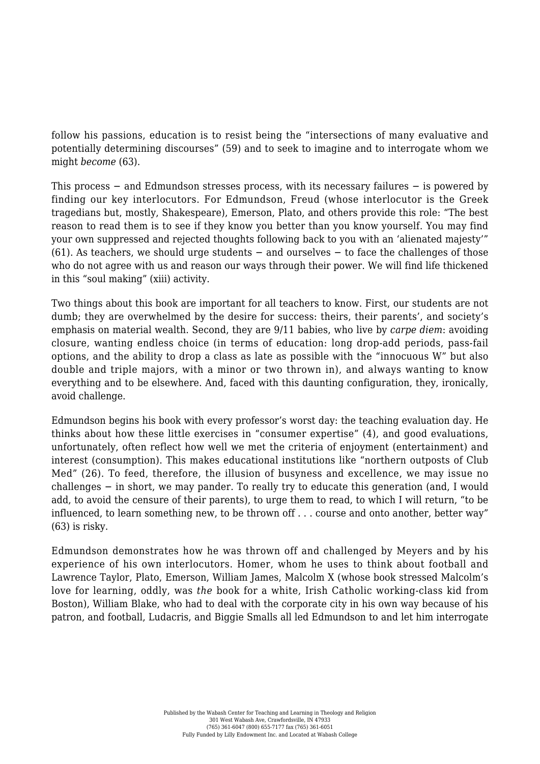follow his passions, education is to resist being the "intersections of many evaluative and potentially determining discourses" (59) and to seek to imagine and to interrogate whom we might *become* (63).

This process – and Edmundson stresses process, with its necessary failures – is powered by finding our key interlocutors. For Edmundson, Freud (whose interlocutor is the Greek tragedians but, mostly, Shakespeare), Emerson, Plato, and others provide this role: "The best reason to read them is to see if they know you better than you know yourself. You may find your own suppressed and rejected thoughts following back to you with an 'alienated majesty'" (61). As teachers, we should urge students − and ourselves − to face the challenges of those who do not agree with us and reason our ways through their power. We will find life thickened in this "soul making" (xiii) activity.

Two things about this book are important for all teachers to know. First, our students are not dumb; they are overwhelmed by the desire for success: theirs, their parents', and society's emphasis on material wealth. Second, they are 9/11 babies, who live by *carpe diem*: avoiding closure, wanting endless choice (in terms of education: long drop-add periods, pass-fail options, and the ability to drop a class as late as possible with the "innocuous W" but also double and triple majors, with a minor or two thrown in), and always wanting to know everything and to be elsewhere. And, faced with this daunting configuration, they, ironically, avoid challenge.

Edmundson begins his book with every professor's worst day: the teaching evaluation day. He thinks about how these little exercises in "consumer expertise" (4), and good evaluations, unfortunately, often reflect how well we met the criteria of enjoyment (entertainment) and interest (consumption). This makes educational institutions like "northern outposts of Club Med" (26). To feed, therefore, the illusion of busyness and excellence, we may issue no challenges − in short, we may pander. To really try to educate this generation (and, I would add, to avoid the censure of their parents), to urge them to read, to which I will return, "to be influenced, to learn something new, to be thrown off . . . course and onto another, better way" (63) is risky.

Edmundson demonstrates how he was thrown off and challenged by Meyers and by his experience of his own interlocutors. Homer, whom he uses to think about football and Lawrence Taylor, Plato, Emerson, William James, Malcolm X (whose book stressed Malcolm's love for learning, oddly, was *the* book for a white, Irish Catholic working-class kid from Boston), William Blake, who had to deal with the corporate city in his own way because of his patron, and football, Ludacris, and Biggie Smalls all led Edmundson to and let him interrogate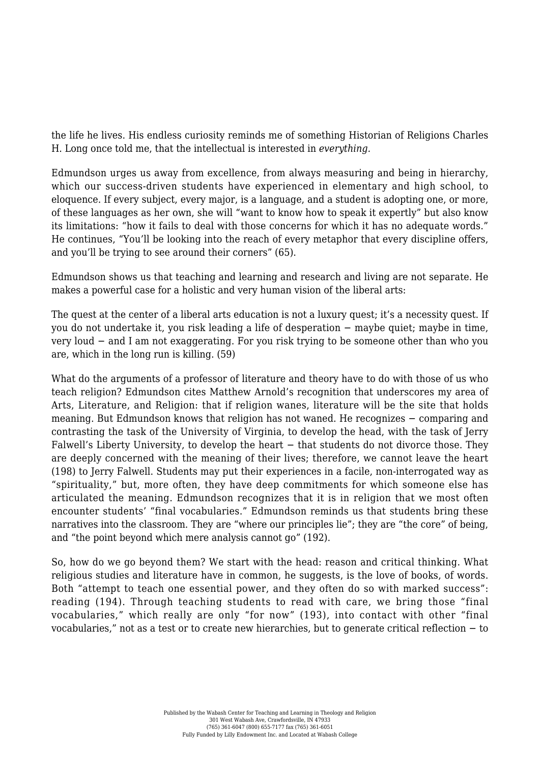the life he lives. His endless curiosity reminds me of something Historian of Religions Charles H. Long once told me, that the intellectual is interested in *everything.*

Edmundson urges us away from excellence, from always measuring and being in hierarchy, which our success-driven students have experienced in elementary and high school, to eloquence. If every subject, every major, is a language, and a student is adopting one, or more, of these languages as her own, she will "want to know how to speak it expertly" but also know its limitations: "how it fails to deal with those concerns for which it has no adequate words." He continues, "You'll be looking into the reach of every metaphor that every discipline offers, and you'll be trying to see around their corners" (65).

Edmundson shows us that teaching and learning and research and living are not separate. He makes a powerful case for a holistic and very human vision of the liberal arts:

The quest at the center of a liberal arts education is not a luxury quest; it's a necessity quest. If you do not undertake it, you risk leading a life of desperation − maybe quiet; maybe in time, very loud − and I am not exaggerating. For you risk trying to be someone other than who you are, which in the long run is killing. (59)

What do the arguments of a professor of literature and theory have to do with those of us who teach religion? Edmundson cites Matthew Arnold's recognition that underscores my area of Arts, Literature, and Religion: that if religion wanes, literature will be the site that holds meaning. But Edmundson knows that religion has not waned. He recognizes − comparing and contrasting the task of the University of Virginia, to develop the head, with the task of Jerry Falwell's Liberty University, to develop the heart − that students do not divorce those. They are deeply concerned with the meaning of their lives; therefore, we cannot leave the heart (198) to Jerry Falwell. Students may put their experiences in a facile, non-interrogated way as "spirituality," but, more often, they have deep commitments for which someone else has articulated the meaning. Edmundson recognizes that it is in religion that we most often encounter students' "final vocabularies." Edmundson reminds us that students bring these narratives into the classroom. They are "where our principles lie"; they are "the core" of being, and "the point beyond which mere analysis cannot go" (192).

So, how do we go beyond them? We start with the head: reason and critical thinking. What religious studies and literature have in common, he suggests, is the love of books, of words. Both "attempt to teach one essential power, and they often do so with marked success": reading (194). Through teaching students to read with care, we bring those "final vocabularies," which really are only "for now" (193), into contact with other "final vocabularies," not as a test or to create new hierarchies, but to generate critical reflection − to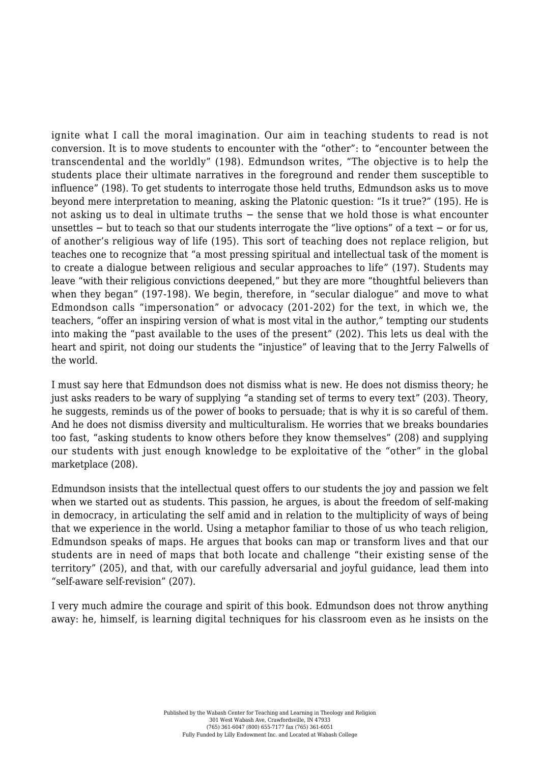ignite what I call the moral imagination. Our aim in teaching students to read is not conversion. It is to move students to encounter with the "other": to "encounter between the transcendental and the worldly" (198). Edmundson writes, "The objective is to help the students place their ultimate narratives in the foreground and render them susceptible to influence" (198). To get students to interrogate those held truths, Edmundson asks us to move beyond mere interpretation to meaning, asking the Platonic question: "Is it true?" (195). He is not asking us to deal in ultimate truths − the sense that we hold those is what encounter unsettles − but to teach so that our students interrogate the "live options" of a text − or for us, of another's religious way of life (195). This sort of teaching does not replace religion, but teaches one to recognize that "a most pressing spiritual and intellectual task of the moment is to create a dialogue between religious and secular approaches to life" (197). Students may leave "with their religious convictions deepened," but they are more "thoughtful believers than when they began" (197-198). We begin, therefore, in "secular dialogue" and move to what Edmondson calls "impersonation" or advocacy (201-202) for the text, in which we, the teachers, "offer an inspiring version of what is most vital in the author," tempting our students into making the "past available to the uses of the present" (202). This lets us deal with the heart and spirit, not doing our students the "injustice" of leaving that to the Jerry Falwells of the world.

I must say here that Edmundson does not dismiss what is new. He does not dismiss theory; he just asks readers to be wary of supplying "a standing set of terms to every text" (203). Theory, he suggests, reminds us of the power of books to persuade; that is why it is so careful of them. And he does not dismiss diversity and multiculturalism. He worries that we breaks boundaries too fast, "asking students to know others before they know themselves" (208) and supplying our students with just enough knowledge to be exploitative of the "other" in the global marketplace (208).

Edmundson insists that the intellectual quest offers to our students the joy and passion we felt when we started out as students. This passion, he argues, is about the freedom of self-making in democracy, in articulating the self amid and in relation to the multiplicity of ways of being that we experience in the world. Using a metaphor familiar to those of us who teach religion, Edmundson speaks of maps. He argues that books can map or transform lives and that our students are in need of maps that both locate and challenge "their existing sense of the territory" (205), and that, with our carefully adversarial and joyful guidance, lead them into "self-aware self-revision" (207).

I very much admire the courage and spirit of this book. Edmundson does not throw anything away: he, himself, is learning digital techniques for his classroom even as he insists on the